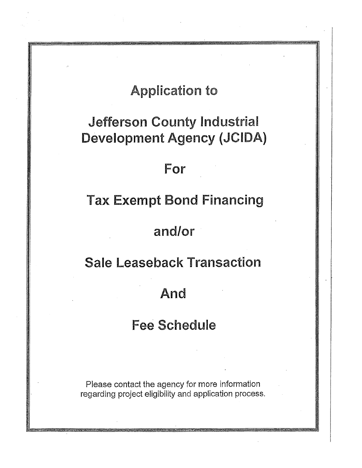# **Application to**

# Jefferson County Industrial Development Agency (JCIDA)

# For

# Tax Exempt Bond Financing

# and/or

## Sale Leaseback Transaction

# And

# Fee Schedule

Please contact the agency for more information regarding project eligibility and application process.

.15M-11915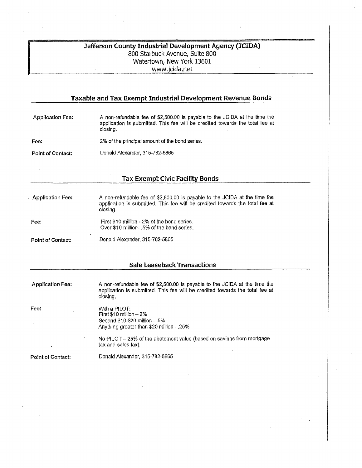### **Jefferson County Industrial Development Agency (JCIDA)**  800 Starbuck Avenue, Suite 800 Watertown, New York 13601 www.jcida.net

### **Taxable and Tax Exempt Industrial Development Revenue Bonds**  Application Fee: A non-refundable fee of \$2,500.00 is payable to the JCIDA at the time the application is submitted. This fee will be credited towards the total fee at closing. Fee: 2% of the principal amount of the bond series. Point of Contact: Donald Alexander, 315-782-5865 **Tax Exempt Civic Facility Bonds**  Application Fee: Fee: Point of Contact: A non-refundable fee of \$2,500.00 is payable to the JCIDA at the time the application is submitted. This fee will be credited towards the total fee at closing. First \$10 million - 2% of the bond series. Over \$10 million- .5% of the bond series. Donald Alexander, 315-782-5865 **Sale Leaseback Transactions**  Application Fee: Fee: A non-refundable fee of \$2,500.00 is payable to the JCIDA at the time the application is submitted. This fee will be credited towards the total fee at closing, With a PILOT: First \$10 million — 2% Second \$10-\$20 million - .5% Anything greater than \$20 million - .25% No PILOT— 25% of the abatement value (based on savings from mortgage tax and sales tax).

Point of Contact: Donald Alexander, 316-782-6865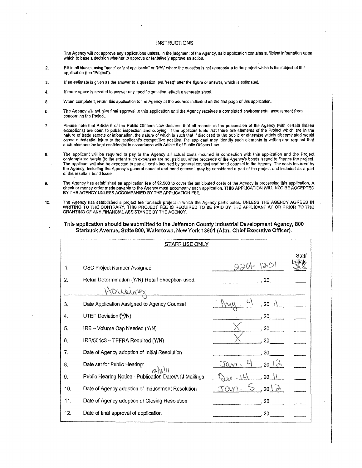#### INSTRUCTIONS

The Agency will not approve any applications unless, in the judgment of the Agency, said application contains sufficient Information upon which to base a decision whether to approve or tentatively approve an action.

- 2, Fill in all blanks, using 'none" or 'not applicable' or 'WA' where the question is not appropriate to the project which is the subject of this application (the "Project").
- 3, If an estimate is given as the answer to a question, put '(eat)' after the figure or answer, which is estimated.
- 4. If more space Is needed to answer any specific question, attach a separate sheet.
- 5. When completed, return this application to the Agency at the address indicated on the first page of this application.
- 6. The Agency will not give final approval to this application until the Agency receives a completed environmental assessment form concerning the Project.
- 7. Please note that Article 6 of the Public Officers Law declares that all records in the possession of the Agency (with certain limited exceptions) are open to public inspection and copying. If the applicant feels that there are elements of the Project which are in the nature of trade secrets or information, the nature of which Is such that If disclosed to the public or otherwise widely disseminated would cause substantial Injury to the applicant's competitive position, the applicant may identify such elements In writing and request that such elements be kept confidential In accordance with Article 6 of Public Officers Law.
- 8. The applicant will be required to pay to the Agency all actual costs incurred in connection with this application and the Project contemplated herein (to the extent such expenses are not paid out of the proceeds of the Agency's bonds Issued to finance the project. The applicant will also be expected to pay all costs Incurred by general counsel and bond counsel to the Agency. The costs Incurred by the Agency, including the Agency's general counsel and bond counsel, may be considered a part of the project and Included as a part of the resultant bond Issue.
- 9. The Agency has established an application fee of \$2,500 to cover the anticipated costs of the Agency In processing this application. A check or money order made payable to the Agency must accompany each application. THIS APPLICATION WILL NOT BE ACCEPTED<br>BY THE AGENCY UNLESS ACCOMPANIED BY THE APPLICATION FEE.
- 10. The Agency has established a project fee for each project in which the Agency participates. UNLESS THE AGENCY AGREES IN WRITING TO THE CONTRARY, THIS PROJECT FEE IS REQUIRED TO BE PAID BY THE APPLICANT AT OR PRIOR TO T GRANTING OF ANY FINANCIAL ASSISTANCE BY THE AGENCY.
	- This application should be submitted to the Jefferson County Industrial Development Agency, 800 Starbuck Avenue, Suite 800, Watertown, New York 13601 (Attn: Chief Executive Officer).

| <b>STAFF USE ONLY</b> |                                                       |                         |                   |  |
|-----------------------|-------------------------------------------------------|-------------------------|-------------------|--|
| 1.                    | OSC Project Number Assigned                           | $2201 - 120$            | Staff<br>Initials |  |
| $\overline{2}$ .      | Retail Determination (Y/N) Retail Exception used:     | 20                      |                   |  |
|                       |                                                       |                         |                   |  |
| 3.                    | Date Application Assigned to Agency Counsel           |                         |                   |  |
| 4.                    | UTEP Deviation (Y/N)                                  | 20                      |                   |  |
| 5.                    | IRB - Volume Cap Needed (Y/N)                         | 20                      |                   |  |
| 6.                    | IRB/501c3 - TEFRA Required (Y/N)                      | 20                      |                   |  |
| 7.                    | Date of Agency adoption of Initial Resolution         | 20                      |                   |  |
| 8.                    | Date set for Public Hearing:<br>12/15/11              | $20 \sqrt{2}$<br>ran    |                   |  |
| 9.                    | Public Hearing Notice - Publication Date/ATJ Mailings | 20 <sub>2</sub>         |                   |  |
| 10.                   | Date of Agency adoption of Inducement Resolution      | 20 <sup>2</sup><br>57 A |                   |  |
| 11.                   | Date of Agency adoption of Closing Resolution         | 20                      |                   |  |
| 12.                   | Date of final approval of application                 | 20                      |                   |  |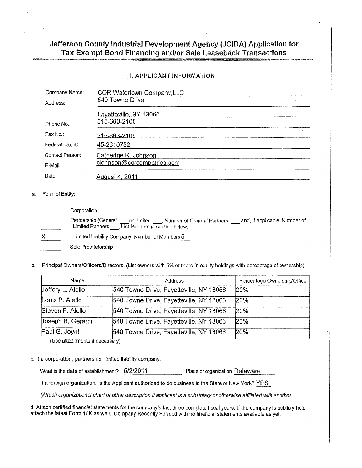### Jefferson County Industrial Development Agency (JCIDA) Application for Tax Exempt Bond Financing and/or Sale Leaseback Transactions

I. APPLICANT INFORMATION

| <b>I. APPLICANT INFORMATION</b> |                                               |  |  |  |
|---------------------------------|-----------------------------------------------|--|--|--|
| Company Name:<br>Address:       | COR Watertown Company, LLC<br>540 Towne Drive |  |  |  |
|                                 | Favetteville, NY 13066<br>315-663-2100        |  |  |  |
| Phone No.:                      |                                               |  |  |  |
| Fax No.:                        | 315-663-2109                                  |  |  |  |
| Federal Tax ID:                 | 45-2610752                                    |  |  |  |
| Contact Person:                 | Catherine K. Johnson                          |  |  |  |
| E-Mail:                         | ciohnson@corcompanies.com                     |  |  |  |
| Date:                           | <u>August 4, 2011</u>                         |  |  |  |

### a. Form of Entity:

| Corporation                                                                                                                                                                              |  |  |  |  |
|------------------------------------------------------------------------------------------------------------------------------------------------------------------------------------------|--|--|--|--|
| Partnership (General<br>and, if applicable, Number of<br>Partnership (General ____________________; Number of General Partners<br>Limited Partners ____, List Partners in section below. |  |  |  |  |
| Limited Liability Company, Number of Members 5                                                                                                                                           |  |  |  |  |
| Sole Proprietorship                                                                                                                                                                      |  |  |  |  |

b. Principal Owners/Officers/Directors: (List owners with 5% or more in equity holdings with percentage of ownership)

| Name              | Address                                 | Percentage Ownership/Office |
|-------------------|-----------------------------------------|-----------------------------|
| Jeffery L. Aiello | 540 Towne Drive, Fayetteville, NY 13066 | 20%                         |
| Louis P. Aiello   | 540 Towne Drive, Fayetteville, NY 13066 | 20%                         |
| Steven F. Aiello  | 540 Towne Drive, Fayetteville, NY 13066 | 20%                         |
| Joseph B. Gerardi | 540 Towne Drive, Fayetteville, NY 13066 | 20%                         |
| Paul G. Joynt     | 540 Towne Drive, Fayetteville, NY 13066 | 20%                         |

(Use attachments if necessary)

#### c. If a corporation, partnership, limited liability company:

What is the date of establishment?  $5/2/2011$  Place of organization Delaware

If a foreign organization, is the Applicant authorized to do business in the State of New York? YES

(Attach organizational chart or other description if applicant is a subsidiary or otherwise affiliated with another

d. Attach certified financial statements for the company's last three complete fiscal years. If the company is publicly held, attach the latest Form 10K as well. Company Recently Formed with no'financial statements available as yet.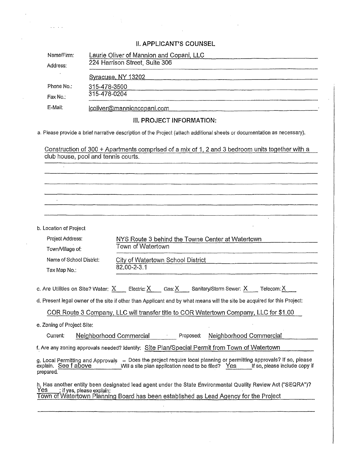$\label{eq:2.1} \mathcal{L} = \frac{1}{2} \sum_{i=1}^{n} \frac{1}{2} \sum_{j=1}^{n} \frac{1}{2} \sum_{j=1}^{n} \frac{1}{2} \sum_{j=1}^{n} \frac{1}{2} \sum_{j=1}^{n} \frac{1}{2} \sum_{j=1}^{n} \frac{1}{2} \sum_{j=1}^{n} \frac{1}{2} \sum_{j=1}^{n} \frac{1}{2} \sum_{j=1}^{n} \frac{1}{2} \sum_{j=1}^{n} \frac{1}{2} \sum_{j=1}^{n} \frac{1}{2} \sum_{j=1}^{n}$ 

 $\hat{\mathcal{A}}$ 

 $\label{eq:1} \frac{1}{\sqrt{2\pi}}\sum_{i=1}^n\frac{1}{\sqrt{2\pi}}\int_{0}^1\frac{1}{\sqrt{2\pi}}\frac{1}{\sqrt{2\pi}}\frac{1}{\sqrt{2\pi}}\frac{1}{\sqrt{2\pi}}\frac{1}{\sqrt{2\pi}}\frac{1}{\sqrt{2\pi}}\frac{1}{\sqrt{2\pi}}\frac{1}{\sqrt{2\pi}}\frac{1}{\sqrt{2\pi}}\frac{1}{\sqrt{2\pi}}\frac{1}{\sqrt{2\pi}}\frac{1}{\sqrt{2\pi}}\frac{1}{\sqrt{2\pi}}\frac{1}{\sqrt{2\pi}}\frac{1}{$ 

 $\hat{\mathcal{L}}$ 

 $\hat{\mathcal{A}}$ 

|                                                                                                                  | II. APPLIUANT O UUUNOEL                                                                                                                                                                                                           |  |  |  |  |  |
|------------------------------------------------------------------------------------------------------------------|-----------------------------------------------------------------------------------------------------------------------------------------------------------------------------------------------------------------------------------|--|--|--|--|--|
| Name/Firm:                                                                                                       | Laurie Oliver of Mannion and Copani, LLC                                                                                                                                                                                          |  |  |  |  |  |
| Address:                                                                                                         | 224 Harrison Street, Suite 306                                                                                                                                                                                                    |  |  |  |  |  |
|                                                                                                                  |                                                                                                                                                                                                                                   |  |  |  |  |  |
| Phone No.:                                                                                                       | 315-478-3500                                                                                                                                                                                                                      |  |  |  |  |  |
| Fax No.:                                                                                                         | 315-478-0204                                                                                                                                                                                                                      |  |  |  |  |  |
| E-Mail:                                                                                                          | coliver@mannioncopani.com entertainments and collision of the state of the state of the state of the state of                                                                                                                     |  |  |  |  |  |
|                                                                                                                  | III. PROJECT INFORMATION:                                                                                                                                                                                                         |  |  |  |  |  |
|                                                                                                                  | a. Please provide a brief narrative description of the Project (attach additional sheets or documentation as necessary).                                                                                                          |  |  |  |  |  |
|                                                                                                                  | Construction of 300 + Apartments comprised of a mix of 1, 2 and 3 bedroom units together with a<br>club house, pool and tennis courts.                                                                                            |  |  |  |  |  |
|                                                                                                                  |                                                                                                                                                                                                                                   |  |  |  |  |  |
|                                                                                                                  |                                                                                                                                                                                                                                   |  |  |  |  |  |
|                                                                                                                  |                                                                                                                                                                                                                                   |  |  |  |  |  |
|                                                                                                                  |                                                                                                                                                                                                                                   |  |  |  |  |  |
|                                                                                                                  |                                                                                                                                                                                                                                   |  |  |  |  |  |
| b. Location of Project                                                                                           |                                                                                                                                                                                                                                   |  |  |  |  |  |
|                                                                                                                  | Project Address:<br>NYS Route 3 behind the Towne Center at Watertown                                                                                                                                                              |  |  |  |  |  |
| Town/Village of:                                                                                                 | Town of Watertown                                                                                                                                                                                                                 |  |  |  |  |  |
| Name of School District:<br>City of Watertown School District Material Accords City of Watertown School District |                                                                                                                                                                                                                                   |  |  |  |  |  |
| 82.00-2-3.1<br>Tax Map No.:                                                                                      |                                                                                                                                                                                                                                   |  |  |  |  |  |
|                                                                                                                  | c. Are Utilities on Site? Water: $X$ Electric: $X$ Gas: $X$ Sanitary/Storm Sewer: $X$ Telecom: $X$                                                                                                                                |  |  |  |  |  |
|                                                                                                                  | d. Present legal owner of the site if other than Applicant and by what means will the site be acquired for this Project:                                                                                                          |  |  |  |  |  |
|                                                                                                                  | COR Route 3 Company, LLC will transfer title to COR Watertown Company, LLC for \$1.00                                                                                                                                             |  |  |  |  |  |
| e. Zoning of Project Site:                                                                                       |                                                                                                                                                                                                                                   |  |  |  |  |  |
| Current:                                                                                                         | Neighborhood Commercial<br>Proposed:<br>Neighborhood Commercial                                                                                                                                                                   |  |  |  |  |  |
|                                                                                                                  | f. Are any zoning approvals needed? Identify: Site Plan/Special Permit from Town of Watertown                                                                                                                                     |  |  |  |  |  |
| explain. See f above<br>prepared.                                                                                | g. Local Permitting and Approvals - Does the project require local planning or permitting approvals? If so, please<br>Will a site plan application need to be filed? Yes<br>If so, please include copy if                         |  |  |  |  |  |
| Yes                                                                                                              | h. Has another entity been designated lead agent under the State Environmental Quality Review Act ("SEQRA")?<br>; if yes, please explain:<br>Town of Watertown Planning Board has been established as Lead Agency for the Project |  |  |  |  |  |
|                                                                                                                  |                                                                                                                                                                                                                                   |  |  |  |  |  |
|                                                                                                                  |                                                                                                                                                                                                                                   |  |  |  |  |  |

 $\mathcal{A}^{\mathcal{A}}$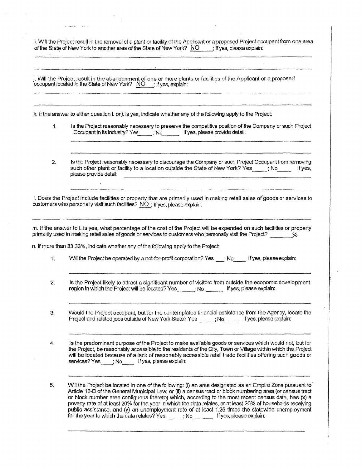i. Will the Project result in the removal of a plant or facility of the Applicant or a proposed Project occupant from one area of the State of New York to another area of the State of New York? NO ; If yes, please explain:

j. Will the Project result in the abandonment of one or more plants or facilities of the Applicant or a proposed occupant located in the State of New York?  $\overline{\text{NO}}$  ; If yes, explain:

k. If the answer to either question i. or j. Is yes, indicate whether any of the following apply to the Project:

- 1. Is the Project reasonably necessary to preserve the competitive position of the Company or such Project Occupant in its industry? Yes ; No If yes, please provide detail:
- 2. Is the Project reasonably necessary to discourage the Company or such Project Occupant from removing such other plant or facility to a location outside the State of New York? Yes ; No If yes, please provide detail:

I. Does the Project include facilities or property that are primarily used in making retail sales of goods or services to customers who personally visit such facilities? NO; If yes, please explain:

m. If the answer to I. is yes, what percentage of the cost of the Project will be expended on such facilities or property primarily used in making retail sales of goods or services to customers who personally visit the Project?

n. If more than 33.33%, indicate whether any of the following apply to the Project:

- 1. Will the Project be operated by a not-for-profit corporation? Yes <sub>i</sub> No **If yes**, please explain:
- 2. Is the Project likely to attract a significant number of visitors from outside the economic development region in which the Project will be located? Yes \_\_\_\_\_; No \_\_\_\_\_\_ If yes, please explain:

3. Would the Project occupant, but for the contemplated financial assistance from the Agency, locate the Project and related jobs outside of New York State? Yes [No If yes, please explain:

4, Is the predominant purpose of the Project to make available goods or services which would not, but for the Project, be reasonably accessible to the residents of the City, Town or Village within which the Project will be located because of a lack of reasonably accessible retail trade facilities offering such goods or services? Yes \_\_\_\_; No If yes, please explain:

5. Will the Project be located in one of the following: (i) an area designated as an Empire Zone pursuant to Article 18-B of the General Municipal Law, or (ii) a census tract or block numbering area (or census tract or block number area contiguous thereto) which, according to the most recent census data, has (x) a poverty rate of at least 20% for the year In which the data relates, or at least 20% of households receiving public assistance, and (y) an unemployment rate of at least 1.25 times the statewide unemployment for the year to which the data relates? Yes ; No If yes, please explain: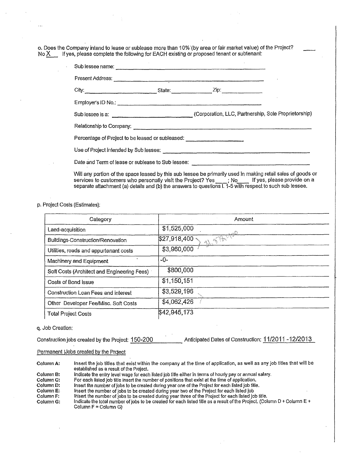o. Does the Company intend to lease or sublease more than 10%•(by area or fair market value) of the Project? No  $X$  If yes, please complete the following for EACH existing or proposed tenant or subtenant:

| Sub lessee name: experience of the state of the state of the state of the state of the state of the state of the state of the state of the state of the state of the state of the state of the state of the state of the state      |  |                                                                                  |  |  |  |
|-------------------------------------------------------------------------------------------------------------------------------------------------------------------------------------------------------------------------------------|--|----------------------------------------------------------------------------------|--|--|--|
|                                                                                                                                                                                                                                     |  |                                                                                  |  |  |  |
|                                                                                                                                                                                                                                     |  |                                                                                  |  |  |  |
|                                                                                                                                                                                                                                     |  |                                                                                  |  |  |  |
|                                                                                                                                                                                                                                     |  | Sub lessee is a: (Corporation, LLC, Partnership, Sole Proprietorship)            |  |  |  |
|                                                                                                                                                                                                                                     |  |                                                                                  |  |  |  |
| Percentage of Project to be leased or subleased: _______________________________                                                                                                                                                    |  |                                                                                  |  |  |  |
| Use of Project intended by Sub lessee: <u>contained and contained and contained</u> and contained and contained and contained and contained and contained and contained and contained and contained and contained and contained and |  |                                                                                  |  |  |  |
|                                                                                                                                                                                                                                     |  | Date and Term of lease or sublease to Sub lessee: ______________________________ |  |  |  |

Will any portion of the space leased by this sub lessee be primarily used in making retail sales of goods or services to customers who personally visit the Project? Yes [1] No If yes, please provide on a separate attachment (a) details and (b) the answers to questions I. 1-5 with respect to such sub lessee.

p. Project Costs (Estimates):

| Category                                    | Amount                   |
|---------------------------------------------|--------------------------|
| Land-acquisition                            | \$1,525,000              |
| Buildings-Construction/Renovation           | A STANDO<br>\$27,918,400 |
| Utilities, roads and appurtenant costs      | \$3,960,000              |
| Machinery and Equipment                     | -0-                      |
| Soft Costs (Architect and Engineering Fees) | \$800,000                |
| Costs of Bond issue                         | \$1,150,151              |
| Construction Loan Fees and interest         | \$3,529,196              |
| Other Developer Fee/Misc. Soft Costs        | \$4,062,426              |
| <b>Total Project Costs</b>                  | \$42,945,173             |

#### q. Job Creation:

| Construction jobs created by the Project: 150-200 | Anticipated Dates of Construction: 11/2011-12/2013 |  |
|---------------------------------------------------|----------------------------------------------------|--|
|                                                   |                                                    |  |

#### Permanent JJobs created by the Project

Column A: Insert the Job titles that exist within the company at the time of application, as well as any job titles that will be established as a result of the Project.

Column B: Indicate the entry level wage for each listed job litle either in terms of hourly pay or annual salary.<br>Column C: For each listed job title insert the number of positions that exist at the time of application.

Column C: For each listed job title insert the number of positions that exist at the time of application.<br>Column D: Insert the number of lobs to be created during year one of the Project for each listed job title

Column D: Insert the number of jobs to be created during year one of the Project for each listed job title.

Column E: Insert the number of Jobs to be created during year two of the Project for each listed job

Column F: linsert the number of jobs to be created during year three of the Project for each listed job title.<br>Column G: lindicate the total number of jobs to be created for each listed title as a result of the Project. (C

Indicate the total number of jobs to be created for each listed title as a result of the Project. (Column D + Column E + Column  $F =$  Column G)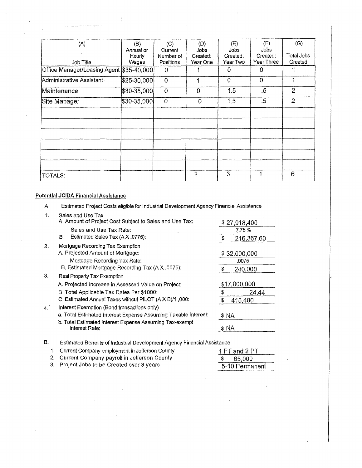| (A)                                        | (B)<br>Annual or<br>Hourly | (C)<br>Current<br>Number of | (D)<br>Jobs<br>Created: | (E)<br>Jobs<br>Created: | (F)<br>Jobs<br>Created: | (G)<br>Total Jobs |
|--------------------------------------------|----------------------------|-----------------------------|-------------------------|-------------------------|-------------------------|-------------------|
| Job Title                                  | Wages                      | Positions                   | Year One <sup>r</sup>   | Year Two                | Year Three              | Created           |
| Office Manager/Leasing Agent [\$35-40,000] |                            | 0                           |                         | 0                       | $\Omega$                |                   |
| Administrative Assistant                   | $$25-30,000$               | $\theta$                    |                         | 0                       | $\overline{0}$          | 1                 |
| Maintenance                                | $$30 - 35,000$             | $\mathbf 0$                 | 0                       | 1.5                     | .5                      | $\overline{2}$    |
| Site Manager                               | \$30-35,000                | $\Omega$                    | 0                       | 1.5                     | .5                      | $\overline{2}$    |
|                                            |                            |                             |                         |                         |                         |                   |
|                                            |                            |                             |                         |                         |                         |                   |
|                                            |                            | $\cdot$                     |                         |                         |                         |                   |
|                                            |                            |                             |                         |                         |                         |                   |
|                                            |                            |                             |                         |                         |                         |                   |
|                                            |                            |                             |                         |                         |                         |                   |
| TOTALS:                                    |                            |                             | $\overline{2}$          | 3                       |                         | 6                 |

### Potential JCIDA Financial Assistance

 $\overline{a}$  ,  $\overline{a}$  ,  $\overline{a}$  ,  $\overline{a}$  ,  $\overline{a}$  ,  $\overline{a}$  ,  $\overline{a}$  ,  $\overline{a}$  ,  $\overline{a}$  ,  $\overline{a}$  ,  $\overline{a}$  ,  $\overline{a}$  ,  $\overline{a}$  ,  $\overline{a}$  ,  $\overline{a}$  ,  $\overline{a}$  ,  $\overline{a}$  ,  $\overline{a}$  ,  $\overline{a}$  ,  $\overline{a}$  ,

| 1. | Sales and Use Tax<br>A. Amount of Project Cost Subject to Sales and Use Tax: |      | \$27,918,400 |
|----|------------------------------------------------------------------------------|------|--------------|
|    | Sales and Use Tax Rate:                                                      |      | 7.75%        |
|    | Estimated Sales Tax (A X .0775):<br>В.                                       | S    | 216,367.60   |
| 2. | Mortgage Recording Tax Exemption                                             |      |              |
|    | A. Projected Amount of Mortgage:                                             |      | \$32,000,000 |
|    | Mortgage Recording Tax Rate:                                                 |      | .0075        |
|    | B. Estimated Mortgage Recording Tax (A X .0075):                             | S    | 240,000      |
| З. | Real Property Tax Exemption                                                  |      |              |
|    | A. Projected Increase in Assessed Value on Project:                          |      | \$17,000,000 |
|    | B. Total Applicable Tax Rates Per \$1000:                                    | \$   | 24,44        |
|    | C. Estimated Annual Taxes without PILOT (A X B)/1,000:                       | \$   | 415,480      |
| 4. | Interest Exemption (Bond transactions only)                                  |      |              |
|    | a. Total Estimated Interest Expense Assuming Taxable Interest:               |      | \$ NA        |
|    | b. Total Estimated Interest Expense Assuming Tax-exempt<br>Interest Rate:    | \$NA |              |
|    |                                                                              |      |              |

A. Estimated Project Costs eligible for Industrial Development Agency Financial Assistance

1 FT and 2 PT 1. Current Company employment in Jefferson County B. Estimated Benefits of Industrial Development Agency Financial Assistance

| <b>1. Carlott Company completion in concretit County</b> | 111 ABU 611    |
|----------------------------------------------------------|----------------|
| 2. Current Company payroll in Jefferson County           | \$ 65,000      |
| 3. Project Jobs to be Created over 3 years               | 5-10 Permanent |
|                                                          |                |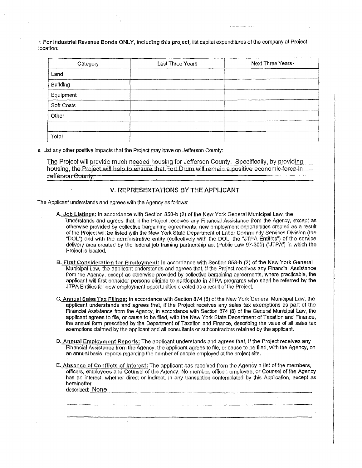r. For industrial Revenue Bonds ONLY, Including this project, list capital expenditures of the company at Project location:

| Category   | Last Three Years | Next Three Years |
|------------|------------------|------------------|
| Land       |                  |                  |
| Building   |                  |                  |
| Equipment  |                  |                  |
| Soft Costs |                  |                  |
| Other      |                  |                  |
|            |                  |                  |
| Total      |                  |                  |

s. List any other positive impacts that the Project may have on Jefferson County:

The Project will provide much needed housing for Jefferson County. Specifically, by providing housing, the Project will help to ensure that Fort Drum will remain a positive-economic-force-in Jefferson County.

### V. REPRESENTATIONS BY THE APPLICANT

The Applicant understands and agrees with the Agency as follows:

- A. Job Listings: In accordance with Section 858-b (2) of the New York General Municipal Law, the 'Understands and agrees that, if the Project receives any Financial Assistance from the Agency, except as otherwise provided by collective bargaining agreements, new employment opportunities created as a result of the Project will be listed with the New York State Department of Labor Community Services Division (the "DOL") and with the administrative entity (collectively with the DOL, the "JTPA Entities") of the service delivery area created by the federal job training partnership act (Public Law 97-300) ('JTPA") in which the Project is located.
- B. First Consideration for Employment: In accordance with Section 858-b (2) of the New York General Municipal Law, the applicant understands and agrees that, if the Project receives any Financial Assistance from the Agency, except as otherwise provided by collective bargaining agreements, where practicable, the applicant will first consider persons eligible to participate in JTPA programs who shall be referred by the JTPA Entities for new employment opportunities created as a result of the Project.
- C. Annual Sales Tax Filings: In accordance with Section 874 (8) of the New York General Municipal Law, the applicant understands and agrees that, if the Project receives any sales tax exemptions as part of the Financial Assistance from the Agency, in accordance with Section 874 (8) of the General Municipal Law, the applicant agrees to file, or cause to be filed, with the New York State Department of Taxation and Finance, the annual form prescribed by the Department of Taxation and Finance, describing the value of all sales tax exemptions claimed by the applicant and all consultants or subcontractors retained by the applicant.
- D. Annual Employment Reports: The applicant understands and agrees that, if the Project receives any Financial Assistance from the Agency, the applicant agrees to file, or cause to be filed, with the Agency, on an annual basis, reports regarding the number of people employed at the project site.
- E. Absence of Conflicts of Interest: The applicant has received from the Agency a list of the members, officers, employees and Counsel of the Agency. No member, officer, employee, or Counsel of the Agency has an interest, whether direct or indirect, in any transaction contemplated by this Application, except as hereinafter described: None

 $\mathbf{r}$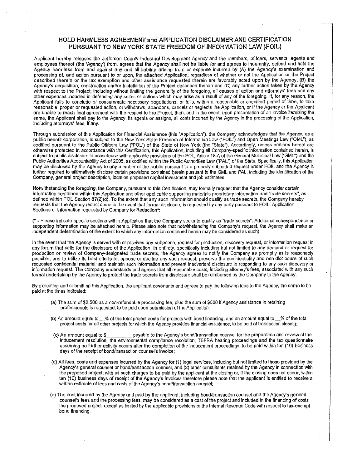### HOLD HARMLESS AGREEMENT and APPLICATION DISCLAIMER AND CERTIFICATION PURSUANT TO NEW YORK STATE FREEDOM OF INFORMATION LAW (FOIL)

Applicant hereby releases the Jefferson County Industrial Development Agency and the members, ofifcers, servants, agents and employees thereof (the 'Agency') from, agrees that the Agency shall not be liable for and agrees to indemnify, defend and hold the Agency harmless from and against any and all liability arising from or expense incurred by (A) the Agency's examination and processing of, and action pursuant to or upon, the attached Application, regardless of whether or not the Application or the Project described therein or the tax exemption and other assistance requested therein are favorably acted upon by the Agency, (B) the Agency's acquisition, construction and/or Installation of the Project described therein and (C) any further action taken by the Agency with respect to the Project; including without limiting the generality of the foregoing, all causes of action and attorneys' fees and any other expenses incurred in defending any suites or actions which may arise as a result of any of the foregoing. If, for any reason, the Applicant fails to conclude or consummate necessary negotiations, or fails, within a reasonable or specified period of lime, to take reasonable, proper or requested action, or withdraws, abandons, cancels or neglects the Application, or if the Agency or the Applicant are unable to reach final agreement with the respect to the Project, then, and in the event, upon presentation of an invoice itemizing the same, the Applicant shall pay to the Agency, its agents or assigns, all costs incurred by the Agency in the processing of the Application, Including attorneys' fees, If any.

Through submission of this Application for Financial Assistance (this "Application"), the Company acknowledges that the Agency, as a public benefit corporation, is subject to the New York State Freedom of Information Law ("FOIL") and Open Meetings Law ("OML"), as codified pursuant to the Public Ofifcers Law ("POI?) of the State of New York (the "State"). Accordingly, unless portions hereof are otherwise protected in accordance with this Certification, this Application, including all Company-specific information contained herein, is subject to public disclosure in accordance with applicable provisions of the POL, Article 18-A of the General Municipal Law ("GML") and the Public Authorities Accountability Act of 2005, as codified within the Public Authorities Law ("PAL") of the State. Specifically, this Application may be disclosed by the Agency to any member of the public pursuant to a properly submitted request under FOIL and the Agency Is further required to afifrrnatively disclose certain provisions contained herein pursuant to the GML and PAL, Including the identification of the Company, general project description, location proposed capital investment and job estimates.

Notwithstanding the foregoing, the Company, pursuant to this Certification, may formally request that the Agency consider certain information contained within this Application and other applicable supporting materials proprietary information and "trade secrets', as defined within POL Section 87(2)(d). To the extent that any such information should qualify as trade secrets, the Company hereby requests that the Agency redact same in the event that formal disclosure is requested by any party pursuant to FOIL. Application Sections or information requested by Company for Redaction\*:

(\* - Please indicate specific sections within Application that the Company seeks to qualify as 'trade secrete, Additional correspondence or supporting Information may be attached hereto. Please also note that notwithstanding the Company's request, the Agency shall make an independent determination of the extent to which any information contained herein may be considered as such)

In the event that the Agency is served with or receives any subpoena, request for production, discovery request, or information request in any forum that calls for the disclosure of the Application, in entirety, specifically including but not limited to any demand or request for production or review of Company-designated trade secrets, the Agency agrees to notify the Company as promptly as is reasonably possible, and to utilize Its best efforts to: oppose or decline any such request; preserve the confidentiality and non-disclosure of such requested confidential material; and maintain such Information and prevent inadvertent disclosure in responding to any such discovery or information request. The Company understands and agrees that all reasonable costs, Including attorney's fees, associated with any such formal undertaking by the Agency to protect the trade secrets from disclosure shall be reimbursed by the Company to the Agency.

By executing and submitting this Application, the applicant covenants and agrees to pay the following fees to the Agency, the same to be paid at the times indicated:

- (a) The sum of \$2,500 as a non-refundable processing fee, plus the sum of \$500 if Agency assistance in retaining professionals is requested, to be paid upon submission of the Application;
- (b) An amount equal to % of the total project costs for projects with bond financing, and an amount equal to wave of the total project costs for all other projects for which the Agency provides financial assistance, to be paid at transaction closing;
- (c) An amount equal to \$ payable to the Agency's bond/transaction counsel for the preparation and review of the inducement resolution, the environmental compliance resolution, TEFRA hearing proceedings and the tax questionnaire assuming no further activity occurs after the completion of the inducement proceedings, to be paid within ten (10) business days of the receipt of bond/transaction counsel's invoice;
- (d) All fees, costs and expenses incurred by the Agency for (1) legal services, Including but not limited to those provided by the Agency's general counsel or bond/transaction counsel, and (2) other consultants retained by the Agency In connection with the proposed project; with all such charges to be paid by the applicant at the closing or, if the closing does not occur, within ten (10) business days of receipt of the Agency's Invoices therefore please note that the applicant Is entitled to receive a written estimate of fees and costs of the Agency's bond/transaction counsel;
- (e) The cost incurred by the Agency and paid by the applicant, including bond/transaction counsel and the Agency's general counsel's fees and the processing fees, may be considered as a cost of the project and included in the financing of costs the proposed project, except as limited by the applicable provisions of the Internal Revenue Code with respect to tax-exempt bond financing.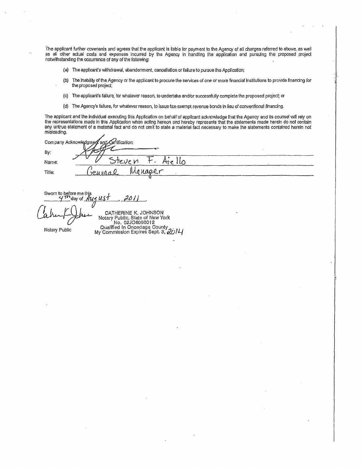The applicant further covenants and agrees that the applicant is liable for payment to the Agency of all charges referred to above, as well as all other actual costs and expenses Incurred by the Agency in handling the application and pursuing the proposed project notwithstanding the occurrence of any of the following:

- (a) The applicant's withdrawal, abandonment, cancellation or failure to pursue the Application;
- (b) The Inability of the Agency or the applicant to procure the services of one or more financial Institutions to provide financing for the proposed project;
- (c) The applicant's failure, for whatever reason, to undertake and/or successfully complete the proposed project; or
- (cf) The Agency's failure, for whatever reason, to issue tax-exempt revenue bonds in lieu of conventional financing.

The applicant and the individual executing this Application on behalf of applicant acknowledge that the Agency and its counsel will rely on the representations made in this Application when acting hereon and hereby represents that the statements made herein do not contain any untrue statement of a material fact and do not omit to state a material fact necessary to make the statements contained herein not misleading.

| Company Acknowledgment and Certification: |  |
|-------------------------------------------|--|
| By,                                       |  |
| $+$ $-$<br>steve n<br>Name:               |  |
| Manaeer<br>$'$ reuvar<br>Title:           |  |
|                                           |  |

Sworn to before me this<br>4<sup>77</sup> day of Au  $2011$ 

CATHERINE K. JOHNSON Notary Public, State of New York No. 02J06080012 Qualified In Onondaga County<br>My Commission Expires Sept, 3, 2014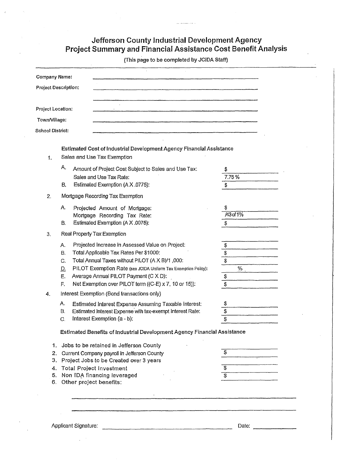### Jefferson County Industrial Development Agency Project Summary and Financial Assistance Cost Benefit Analysis

(This page to be completed by JCIDA Staff)

|                         | Company Name:                                                                                          |                         |
|-------------------------|--------------------------------------------------------------------------------------------------------|-------------------------|
|                         | Project Description:                                                                                   |                         |
|                         |                                                                                                        |                         |
|                         | Project Location:                                                                                      |                         |
| Town/Village:           |                                                                                                        |                         |
| <b>School District:</b> |                                                                                                        |                         |
| 1.                      | Estimated Cost of Industrial Development Agency Financial Assistance<br>Sales and Use Tax Exemption    |                         |
|                         | Α.<br>Amount of Project Cost Subject to Sales and Use Tax:                                             | 3                       |
|                         | Sales and Use Tax Rate:                                                                                | 7.75%                   |
|                         | Estimated Exemption (A X .0775):<br>В.                                                                 | \$                      |
| 2.                      | Mortgage Recording Tax Exemption                                                                       |                         |
|                         | Α.<br>Projected Amount of Mortgage:                                                                    | /43 of 1%               |
|                         | Mortgage Recording Tax Rate:<br>Estimated Exemption (A X .0075):<br>В.                                 | \$                      |
| 3.                      | Real Property Tax Exemption                                                                            |                         |
|                         |                                                                                                        |                         |
|                         | Projected Increase in Assessed Value on Project:<br>Α.<br>Total Applicable Tax Rates Per \$1000:<br>В. | \$                      |
|                         | Total Annual Taxes without PILOT (A X B)/1,000:<br>C.                                                  | $\frac{s}{s}$           |
|                         | PILOT Exemption Rate (see JCIDA Uniform Tax Exemption Policy):<br><u>D.</u>                            | ℅                       |
|                         | Average Annual PILOT Payment (C X D):<br>E.                                                            | \$                      |
|                         | Net Exemption over PILOT term ((C-E) x 7, 10 or 15)):<br>F.                                            | \$                      |
| 4.                      | Interest Exemption (Bond transactions only)                                                            |                         |
|                         | Estimated Interest Expense Assuming Taxable Interest:<br>А.                                            | \$                      |
|                         | Estimated Interest Expense with tax-exempt Interest Rate:<br>В.                                        | $\overline{\mathbf{3}}$ |
|                         | Interest Exemption (a - b):<br>C.                                                                      | \$                      |
|                         | Estimated Benefits of Industrial Development Agency Financial Assistance                               |                         |
|                         | 1. Jobs to be retained in Jefferson County                                                             |                         |
|                         | 2. Current Company payroll in Jefferson County                                                         | \$                      |
| 3.                      | Project Jobs to be Created over 3 years                                                                |                         |
|                         | 4. Total Project Investment<br>5. Non IDA financing leveraged                                          | \$                      |
|                         | 6. Other project benefits:                                                                             |                         |
|                         |                                                                                                        |                         |
|                         |                                                                                                        |                         |
|                         |                                                                                                        |                         |
|                         |                                                                                                        |                         |
|                         | Applicant Signature:                                                                                   | Date:                   |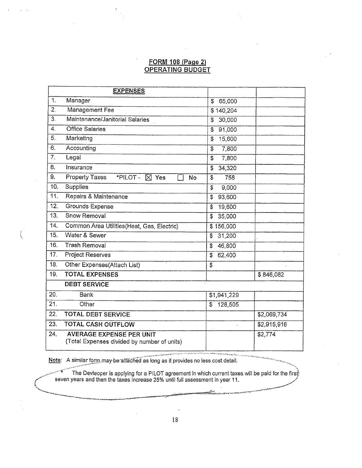### FORM 108 (Page 2) OPERATING BUDGET

|     | <b>EXPENSES</b>                                                                |                                   |             |
|-----|--------------------------------------------------------------------------------|-----------------------------------|-------------|
| 1.  | Manager                                                                        | 65,000<br>\$                      |             |
| 2.  | Management Fee                                                                 | \$140,204                         |             |
| 3.  | Maintenance/Janitorial Salaries                                                | 30,000<br>$\ddot{s}$              |             |
| 4.  | <b>Office Salaries</b>                                                         | 91,000<br>\$                      |             |
| 5.  | Marketing                                                                      | 15,600<br>$\overline{\mathbb{S}}$ |             |
| 6.  | Accounting                                                                     | \$<br>7,800                       |             |
| 7.  | Legal                                                                          | 7,800<br>\$                       |             |
| 8.  | Insurance                                                                      | 34,320<br>\$                      |             |
| 9.  | <b>Property Taxes</b><br>*PILOT - X Yes<br>No                                  | \$<br>758                         |             |
| 10. | Supplies                                                                       | \$<br>9,000                       |             |
| 11. | Repairs & Maintenance                                                          | 93,600<br>\$                      |             |
| 12. | <b>Grounds Expense</b>                                                         | 19,600<br>\$                      |             |
| 13. | Snow Removal                                                                   | 35,000<br>\$                      |             |
| 14. | Common Area Utilities (Heat, Gas, Electric)                                    | \$156,000                         |             |
| 15. | Water & Sewer                                                                  | 31,200<br>S                       |             |
| 16. | <b>Trash Removal</b>                                                           | 46,800<br>\$                      |             |
| 17. | Project Reserves                                                               | 62,400<br>S                       |             |
| 18. | Other Expenses(Attach List)                                                    | $\overline{\mathbb{S}}$           |             |
| 19. | <b>TOTAL EXPENSES</b>                                                          |                                   | \$846,082   |
|     | <b>DEBT SERVICE</b>                                                            |                                   |             |
| 20. | Bank                                                                           | \$1,941,229                       |             |
| 21. | Other                                                                          | 128,505<br>$\mathfrak{S}$         |             |
| 22. | <b>TOTAL DEBT SERVICE</b>                                                      |                                   | \$2,069,734 |
| 23. | <b>TOTAL CASH OUTFLOW</b>                                                      |                                   | \$2,915,916 |
| 24. | <b>AVERAGE EXPENSE PER UNIT</b><br>(Total Expenses divided by number of units) |                                   | \$2,774     |

Note: A similar form may be attached as long as it provides no less cost detail.

'

The Devleoper is applying for a PILOT agreement In which current taxes will be paid for the firs seven years and then the taxes increase 25% until full assessment in year 11.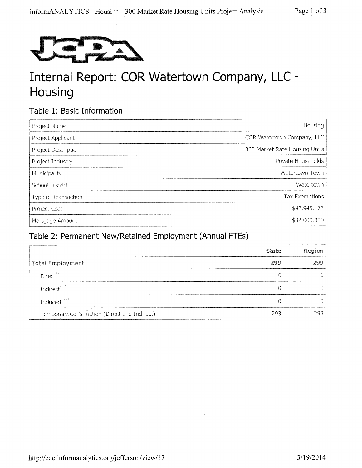

# Internal Report: COR Watertown Company, LLC - Housing

## Table 1: Basic Information

| Project Name        | Housing                       |
|---------------------|-------------------------------|
| Project Applicant   | COR Watertown Company, LLC    |
| Project Description | 300 Market Rate Housing Units |
| Project Industry    | Private Households            |
| Municipality        | Watertown Town                |
| School District     | Watertown                     |
| Type of Transaction | <b>Tax Exemptions</b>         |
| Project Cost        | \$42,945,173                  |
| Mortgage Amount     | \$32,000,000                  |

## Table 2: Permanent New/Retained Employment (Annual FTEs)

|                                              | State | Region |
|----------------------------------------------|-------|--------|
| <b>Total Employment</b>                      | 799   | 700    |
| Direct <sup>**</sup>                         |       |        |
| Indirect <sup>***</sup>                      |       |        |
| Induced <sup>****</sup>                      |       |        |
| Temporary Construction (Direct and Indirect) | 293   | 2Q.    |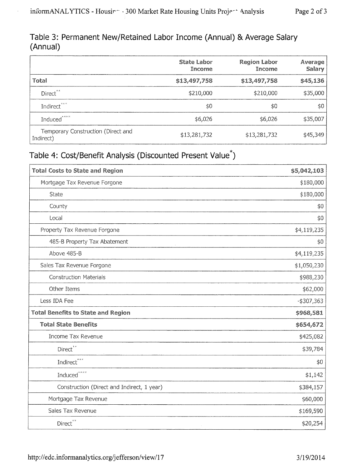$\epsilon$ 

## Table 3: Permanent New/Retained Labor Income (Annual) & Average Salary (Annual)

|                                                 | State Labor<br>Income | <b>Region Labor</b><br>Income | Average<br><b>Salary</b> |
|-------------------------------------------------|-----------------------|-------------------------------|--------------------------|
| Total                                           | \$13,497,758          | \$13,497,758                  | \$45,136                 |
| Direct <sup>**</sup>                            | \$210,000             | \$210,000                     | \$35,000                 |
| Indirect <sup>***</sup>                         | \$0                   | \$0                           | \$0                      |
| Induced****                                     | \$6,026               | \$6,026                       | \$35,007                 |
| Temporary Construction (Direct and<br>Indirect) | \$13,281,732          | \$13,281,732                  | \$45,349                 |

## Table 4: Cost/Benefit Analysis (Discounted Present Value\*)

| <b>Total Costs to State and Region</b>     | \$5,042,103   |
|--------------------------------------------|---------------|
| Mortgage Tax Revenue Forgone               | \$180,000     |
| <b>State</b>                               | \$180,000     |
| County                                     | \$0           |
| Local                                      | \$0           |
| Property Tax Revenue Forgone               | \$4,119,235   |
| 485-B Property Tax Abatement               | \$0           |
| Above 485-B                                | \$4,119,235   |
| Sales Tax Revenue Forgone                  | \$1,050,230   |
| <b>Construction Materials</b>              | \$988,230     |
| Other Items                                | \$62,000      |
| Less IDA Fee                               | $-$ \$307,363 |
| <b>Total Benefits to State and Region</b>  | \$968,581     |
| <b>Total State Benefits</b>                | \$654,672     |
| Income Tax Revenue                         | \$425,082     |
| Direct**                                   | \$39,784      |
| $\operatorname{Indirect}^{***}$            | \$0           |
| Induced****                                | \$1,142       |
| Construction (Direct and Indirect, 1 year) | \$384,157     |
| Mortgage Tax Revenue                       | \$60,000      |
| Sales Tax Revenue                          | \$169,590     |
| Direct <sup>**</sup>                       | \$20,254      |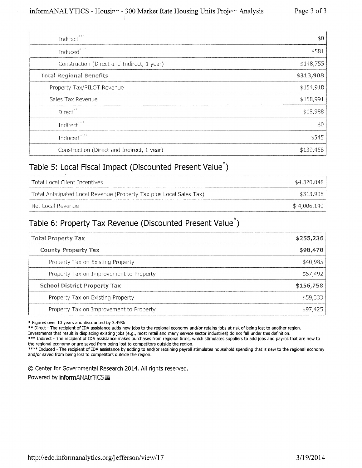| Indirect <sup>***</sup>                    | \$0\$         |
|--------------------------------------------|---------------|
| Induced <sup>speer</sup>                   | \$581         |
| Construction (Direct and Indirect, 1 year) | \$148,755     |
| <b>Total Regional Benefits</b>             | \$313,908     |
| Property Tax/PILOT Revenue                 | \$154,918     |
| Sales Tax Revenue                          | \$158,991     |
| Direct <sup>**</sup>                       | \$18,988      |
| Indirect <sup>123</sup>                    | $\ddot{\phi}$ |
| Induced <sup>****</sup>                    | \$545         |
| Construction (Direct and Indirect, 1 year) | \$139,458     |

## Table 5: Local Fiscal Impact (Discounted Present Value\*)

| l Total Local Client Incentives                                     | \$4,320,048   |
|---------------------------------------------------------------------|---------------|
| Total Anticipated Local Revenue (Property Tax plus Local Sales Tax) | \$313,908     |
| l Net Local Revenue.                                                | $$-4,006,140$ |

## Table 6: Property Tax Revenue (Discounted Present Value\*)

| <b>Total Property Tax</b>               | \$255,236 |
|-----------------------------------------|-----------|
| <b>County Property Tax</b>              | \$98,478  |
| Property Tax on Existing Property       | \$40,985  |
| Property Tax on Improvement to Property | \$57,492  |
| <b>School District Property Tax</b>     | \$156,758 |
| Property Tax on Existing Property       | \$59,333  |
| Property Tax on Improvement to Property | \$97,425  |

\* Figures over 10 years and discounted by 3.49%

\*\* Direct - The recipient of IDA assistance adds new jobs to the regional economy and/or retains jobs at risk of being lost to another region.

Investments that result in displacing existing jobs (e.g., most retail and many service sector industries) do not fall under this definition.

\*\*\* Indirect - The recipient of IDA assistance makes purchases from regional firms, which stimulates suppliers to add jobs and payroll that are new to the regional economy or are saved from being lost to competitors outside the region.

\*\*\*\* Induced - The recipient of IDA assistance by adding to and/or retaining payroll stimulates household spending that is new to the regional economy and/or saved from being lost to competitors outside the region.

0 Center for Governmental Research 2014. All rights reserved.

Powered by **inform**ANALYTICS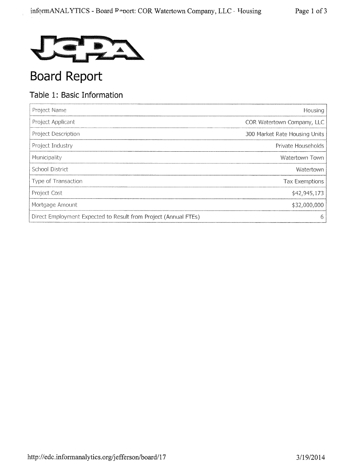

# **Board Report**

## Table 1: Basic Information

| Project Name                                                    | Housing                       |
|-----------------------------------------------------------------|-------------------------------|
| Project Applicant                                               | COR Watertown Company, LLC    |
| Project Description                                             | 300 Market Rate Housing Units |
| Project Industry                                                | Private Households            |
| Municipality                                                    | Watertown Town                |
| School District                                                 | Watertown                     |
| Type of Transaction                                             | <b>Tax Exemptions</b>         |
| Project Cost                                                    | \$42,945,173                  |
| Mortgage Amount                                                 | \$32,000,000                  |
| Direct Employment Expected to Result from Project (Annual FTEs) | 6                             |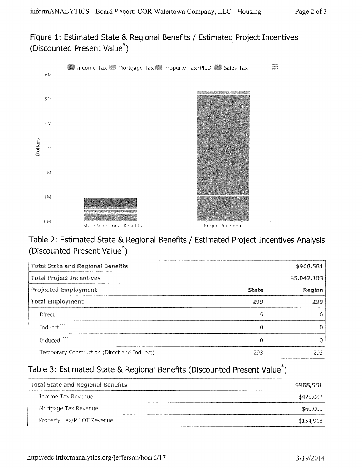## Figure 1: Estimated State & Regional Benefits / Estimated Project Incentives (Discounted Present Value\*)



## Table 2: Estimated State & Regional Benefits / Estimated Project Incentives Analysis (Discounted Present Value\*)

| <b>Total State and Regional Benefits</b>     | \$968,581    |        |
|----------------------------------------------|--------------|--------|
| <b>Total Project Incentives</b>              | \$5,042,103  |        |
| <b>Projected Employment</b>                  | <b>State</b> | Region |
| <b>Total Employment</b>                      | 299          | 299    |
| Direct <sup>**</sup>                         | 6            | b      |
| Indirect <sup>***</sup>                      | 0            |        |
| Induced <sup>****</sup>                      | 0            |        |
| Temporary Construction (Direct and Indirect) | 293          | 293    |

## Table 3: Estimated State & Regional Benefits (Discounted Present Value<sup>\*</sup>)

| Total State and Regional Benefits | \$968,581 |
|-----------------------------------|-----------|
| Income Tax Revenue                | \$425,082 |
| Mortgage Tax Revenue              | \$60,000  |
| Property Tax/PILOT Revenue        | \$154,918 |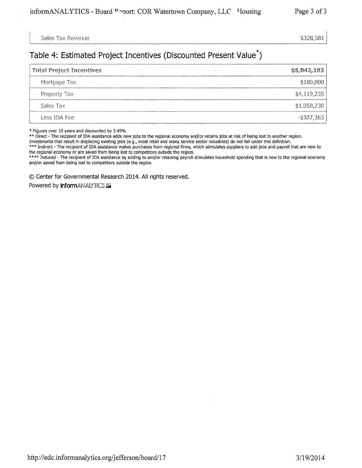Sales Tax Revenue  $$328,581$ 

### Table 4: Estimated Project Incentives (Discounted Present Value\*)

| <b>Total Project Incentives</b> | \$5,042,103   |
|---------------------------------|---------------|
| Mortgage Tax                    | \$180,000     |
| Property Tax                    | \$4,119,235   |
| Sales Tax                       | \$1,050,230   |
| Less IDA Fee                    | $-$ \$307,363 |

\* Figures over 10 years and discounted by 3.49%

\*\* Direct - The recipient of IDA assistance adds new jobs to the regional economy and/or retains jobs at risk of being lost to another region.

Investments that result in displacing existing jobs (e.g., most retail and many service sector industries) do not fall under this definition.

\*\*\* Indirect - The recipient of IDA assistance makes purchases from regional firms, which stimulates suppliers to add jobs and payroll that are new to the regional economy or are saved from being lost to competitors outside the region.

\*\*\*\* Induced - The recipient of IDA assistance by adding to and/or retaining payroll stimulates household spending that is new to the regional economy and/or saved from being lost to competitors outside the region.

© Center for Governmental Research 2014. All rights reserved.

Powered by **InformANALYTICS**